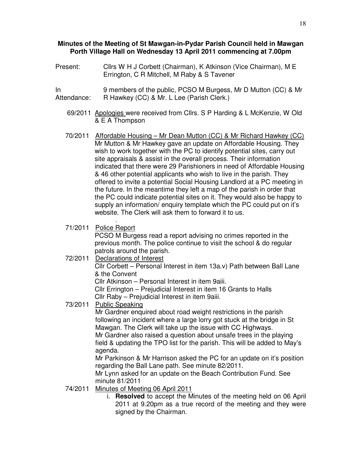#### **Minutes of the Meeting of St Mawgan-in-Pydar Parish Council held in Mawgan Porth Village Hall on Wednesday 13 April 2011 commencing at 7.00pm**

- Present: Cllrs W H J Corbett (Chairman), K Atkinson (Vice Chairman), M E Errington, C R Mitchell, M Raby & S Tavener
- In Attendance: 9 members of the public, PCSO M Burgess, Mr D Mutton (CC) & Mr R Hawkey (CC) & Mr. L Lee (Parish Clerk.)
	- 69/2011 Apologies were received from Cllrs. S P Harding & L McKenzie, W Old & E A Thompson
	- 70/2011 Affordable Housing Mr Dean Mutton (CC) & Mr Richard Hawkey (CC) Mr Mutton & Mr Hawkey gave an update on Affordable Housing. They wish to work together with the PC to identify potential sites, carry out site appraisals & assist in the overall process. Their information indicated that there were 29 Parishioners in need of Affordable Housing & 46 other potential applicants who wish to live in the parish. They offered to invite a potential Social Housing Landlord at a PC meeting in the future. In the meantime they left a map of the parish in order that the PC could indicate potential sites on it. They would also be happy to supply an information/ enquiry template which the PC could put on it's website. The Clerk will ask them to forward it to us.

#### . 71/2011 Police Report

PCSO M Burgess read a report advising no crimes reported in the previous month. The police continue to visit the school & do regular patrols around the parish.

### 72/2011 Declarations of Interest

Cllr Corbett – Personal Interest in item 13a.v) Path between Ball Lane & the Convent

Cllr Atkinson – Personal Interest in item 9aiii.

Cllr Errington – Prejudicial Interest in item 16 Grants to Halls Cllr Raby – Prejudicial Interest in item 9aiii.

# 73/2011 Public Speaking

Mr Gardner enquired about road weight restrictions in the parish following an incident where a large lorry got stuck at the bridge in St Mawgan. The Clerk will take up the issue with CC Highways.

Mr Gardner also raised a question about unsafe trees in the playing field & updating the TPO list for the parish. This will be added to May's agenda.

Mr Parkinson & Mr Harrison asked the PC for an update on it's position regarding the Ball Lane path. See minute 82/2011.

Mr Lynn asked for an update on the Beach Contribution Fund. See minute 81/2011

- 74/2011 Minutes of Meeting 06 April 2011
	- i. **Resolved** to accept the Minutes of the meeting held on 06 April 2011 at 9.20pm as a true record of the meeting and they were signed by the Chairman.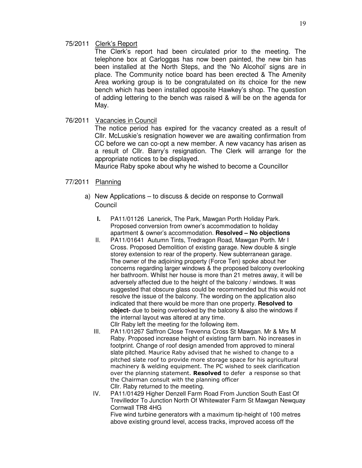### 75/2011 Clerk's Report

The Clerk's report had been circulated prior to the meeting. The telephone box at Carloggas has now been painted, the new bin has been installed at the North Steps, and the 'No Alcohol' signs are in place. The Community notice board has been erected & The Amenity Area working group is to be congratulated on its choice for the new bench which has been installed opposite Hawkey's shop. The question of adding lettering to the bench was raised & will be on the agenda for May.

## 76/2011 Vacancies in Council

The notice period has expired for the vacancy created as a result of Cllr. McLuskie's resignation however we are awaiting confirmation from CC before we can co-opt a new member. A new vacancy has arisen as a result of Cllr. Barry's resignation. The Clerk will arrange for the appropriate notices to be displayed.

Maurice Raby spoke about why he wished to become a Councillor

### 77/2011 Planning

- a) New Applications to discuss & decide on response to Cornwall **Council** 
	- **I.** PA11/01126 Lanerick, The Park, Mawgan Porth Holiday Park. Proposed conversion from owner's accommodation to holiday apartment & owner's accommodation. **Resolved – No objections**
	- II. PA11/01641 Autumn Tints, Tredragon Road, Mawgan Porth. Mr I Cross. Proposed Demolition of existing garage. New double & single storey extension to rear of the property. New subterranean garage. The owner of the adjoining property (Force Ten) spoke about her concerns regarding larger windows & the proposed balcony overlooking her bathroom. Whilst her house is more than 21 metres away, it will be adversely affected due to the height of the balcony / windows. It was suggested that obscure glass could be recommended but this would not resolve the issue of the balcony. The wording on the application also indicated that there would be more than one property. **Resolved to object-** due to being overlooked by the balcony & also the windows if the internal layout was altered at any time.

Cllr Raby left the meeting for the following item.

- III. PA11/01267 Saffron Close Trevenna Cross St Mawgan. Mr & Mrs M Raby. Proposed increase height of existing farm barn. No increases in footprint. Change of roof design amended from approved to mineral slate pitched. Maurice Raby advised that he wished to change to a pitched slate roof to provide more storage space for his agricultural machinery & welding equipment. The PC wished to seek clarification over the planning statement. Resolved to defer a response so that the Chairman consult with the planning officer Cllr. Raby returned to the meeting.
- IV. PA11/01429 Higher Denzell Farm Road From Junction South East Of Trevilledor To Junction North Of Whitewater Farm St Mawgan Newquay Cornwall TR8 4HG

Five wind turbine generators with a maximum tip-height of 100 metres above existing ground level, access tracks, improved access off the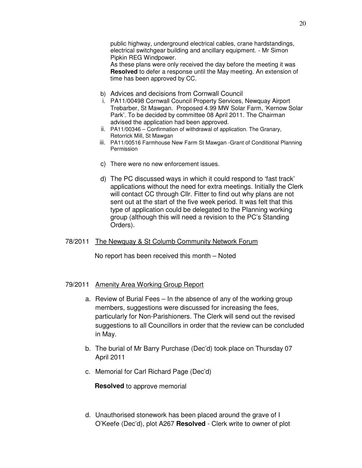public highway, underground electrical cables, crane hardstandings, electrical switchgear building and ancillary equipment. - Mr Simon Pipkin REG Windpower.

As these plans were only received the day before the meeting it was **Resolved** to defer a response until the May meeting. An extension of time has been approved by CC.

- b) Advices and decisions from Cornwall Council
- i. PA11/00498 Cornwall Council Property Services, Newquay Airport Trebarber, St Mawgan. Proposed 4.99 MW Solar Farm, 'Kernow Solar Park'. To be decided by committee 08 April 2011. The Chairman advised the application had been approved.
- ii. PA11/00346 Confirmation of withdrawal of application. The Granary, Retorrick Mill, St Mawgan
- iii. PA11/00516 Farmhouse New Farm St Mawgan -Grant of Conditional Planning Permission
- c) There were no new enforcement issues.
- d) The PC discussed ways in which it could respond to 'fast track' applications without the need for extra meetings. Initially the Clerk will contact CC through Cllr. Fitter to find out why plans are not sent out at the start of the five week period. It was felt that this type of application could be delegated to the Planning working group (although this will need a revision to the PC's Standing Orders).

### 78/2011 The Newquay & St Columb Community Network Forum

No report has been received this month – Noted

### 79/2011 Amenity Area Working Group Report

- a. Review of Burial Fees In the absence of any of the working group members, suggestions were discussed for increasing the fees, particularly for Non-Parishioners. The Clerk will send out the revised suggestions to all Councillors in order that the review can be concluded in May.
- b. The burial of Mr Barry Purchase (Dec'd) took place on Thursday 07 April 2011
- c. Memorial for Carl Richard Page (Dec'd)

**Resolved** to approve memorial

d. Unauthorised stonework has been placed around the grave of I O'Keefe (Dec'd), plot A267 **Resolved** - Clerk write to owner of plot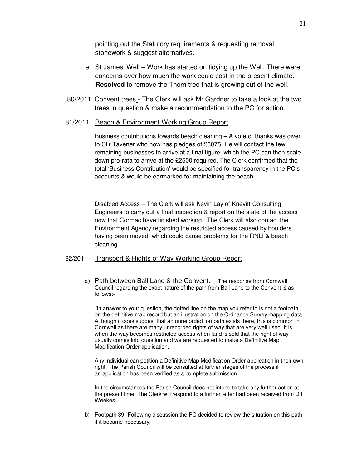pointing out the Statutory requirements & requesting removal stonework & suggest alternatives.

- e. St James' Well Work has started on tidying up the Well. There were concerns over how much the work could cost in the present climate. **Resolved** to remove the Thorn tree that is growing out of the well.
- 80/2011 Convent trees The Clerk will ask Mr Gardner to take a look at the two trees in question & make a recommendation to the PC for action.

#### 81/2011 Beach & Environment Working Group Report

Business contributions towards beach cleaning – A vote of thanks was given to Cllr Tavener who now has pledges of £3075. He will contact the few remaining businesses to arrive at a final figure, which the PC can then scale down pro-rata to arrive at the £2500 required. The Clerk confirmed that the total 'Business Contribution' would be specified for transparency in the PC's accounts & would be earmarked for maintaining the beach.

Disabled Access – The Clerk will ask Kevin Lay of Knevitt Consulting Engineers to carry out a final inspection & report on the state of the access now that Cormac have finished working. The Clerk will also contact the Environment Agency regarding the restricted access caused by boulders having been moved, which could cause problems for the RNLI & beach cleaning.

#### 82/2011 Transport & Rights of Way Working Group Report

a) Path between Ball Lane & the Convent. – The response from Cornwall Council regarding the exact nature of the path from Ball Lane to the Convent is as follows:-

''In answer to your question, the dotted line on the map you refer to is not a footpath on the definitive map record but an illustration on the Ordnance Survey mapping data. Although it does suggest that an unrecorded footpath exists there, this is common in Cornwall as there are many unrecorded rights of way that are very well used. It is when the way becomes restricted access when land is sold that the right of way usually comes into question and we are requested to make a Definitive Map Modification Order application.

Any individual can petition a Definitive Map Modification Order application in their own right. The Parish Council will be consulted at further stages of the process if an application has been verified as a complete submission.''

In the circumstances the Parish Council does not intend to take any further action at the present time. The Clerk will respond to a further letter had been received from D I Weekes.

b) Footpath 39- Following discussion the PC decided to review the situation on this path if it became necessary.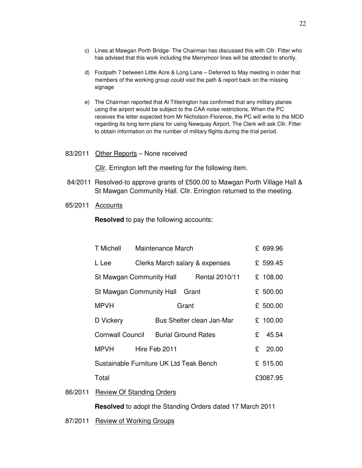- c) Lines at Mawgan Porth Bridge- The Chairman has discussed this with Cllr. Fitter who has advised that this work including the Merrymoor lines will be attended to shortly.
- d) Footpath 7 between Little Acre & Long Lane Deferred to May meeting in order that members of the working group could visit the path & report back on the missing signage
- e) The Chairman reported that Al Titterington has confirmed that any military planes using the airport would be subject to the CAA noise restrictions. When the PC receives the letter expected from Mr Nicholson-Florence, the PC will write to the MOD regarding its long term plans for using Newquay Airport. The Clerk will ask Cllr. Fitter to obtain information on the number of military flights during the trial period.
- 83/2011 Other Reports None received

Cllr. Errington left the meeting for the following item.

- 84/2011 Resolved-to approve grants of £500.00 to Mawgan Porth Village Hall & St Mawgan Community Hall. Cllr. Errington returned to the meeting.
- 85/2011 Accounts

**Resolved** to pay the following accounts:

|         | T Michell                                  | Maintenance March              |                            |                           | £ 699.96 |           |
|---------|--------------------------------------------|--------------------------------|----------------------------|---------------------------|----------|-----------|
|         | L Lee                                      | Clerks March salary & expenses |                            |                           |          | £ 599.45  |
|         | St Mawgan Community Hall<br>Rental 2010/11 |                                |                            |                           |          | £ 108.00  |
|         | St Mawgan Community Hall<br>Grant          |                                |                            |                           |          | £ 500.00  |
|         | <b>MPVH</b>                                |                                | Grant                      |                           |          | £ 500.00  |
|         | D Vickery                                  |                                |                            | Bus Shelter clean Jan-Mar |          | £ 100.00  |
|         | <b>Cornwall Council</b>                    |                                | <b>Burial Ground Rates</b> |                           | £        | 45.54     |
|         | <b>MPVH</b>                                |                                | Hire Feb 2011              |                           |          | £ $20.00$ |
|         | Sustainable Furniture UK Ltd Teak Bench    |                                |                            |                           |          | £ 515.00  |
|         | Total                                      |                                |                            |                           |          | £3087.95  |
| 86/2011 | <b>Review Of Standing Orders</b>           |                                |                            |                           |          |           |

**Resolved** to adopt the Standing Orders dated 17 March 2011

87/2011 Review of Working Groups